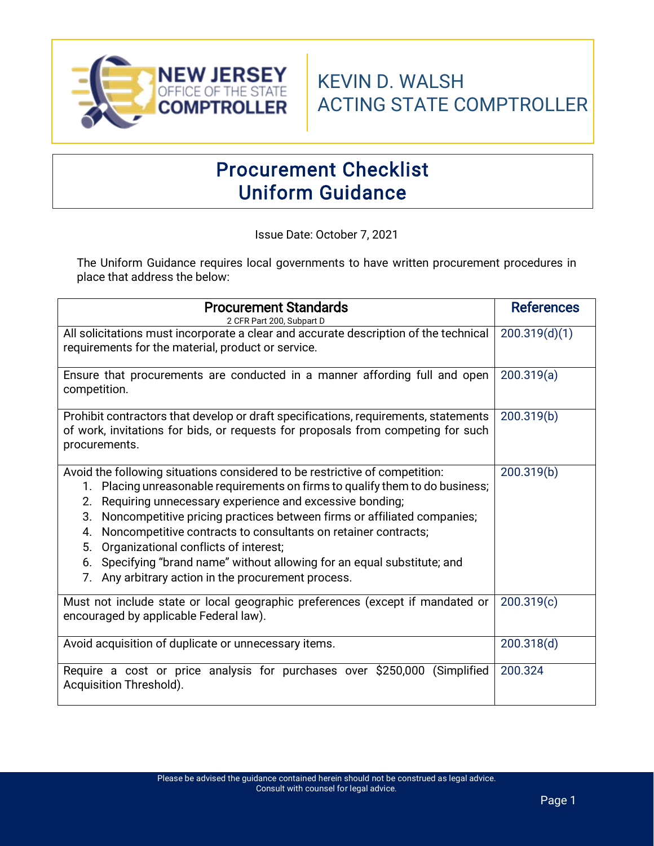

# Procurement Checklist Uniform Guidance

Issue Date: October 7, 2021

The Uniform Guidance requires local governments to have written procurement procedures in place that address the below:

| <b>Procurement Standards</b><br>2 CFR Part 200, Subpart D                                                                                                                                                                                                                                                                                                                                                                                                                                                                                                                      | <b>References</b> |
|--------------------------------------------------------------------------------------------------------------------------------------------------------------------------------------------------------------------------------------------------------------------------------------------------------------------------------------------------------------------------------------------------------------------------------------------------------------------------------------------------------------------------------------------------------------------------------|-------------------|
| All solicitations must incorporate a clear and accurate description of the technical<br>requirements for the material, product or service.                                                                                                                                                                                                                                                                                                                                                                                                                                     | 200.319(d)(1)     |
| Ensure that procurements are conducted in a manner affording full and open<br>competition.                                                                                                                                                                                                                                                                                                                                                                                                                                                                                     | 200.319(a)        |
| Prohibit contractors that develop or draft specifications, requirements, statements<br>of work, invitations for bids, or requests for proposals from competing for such<br>procurements.                                                                                                                                                                                                                                                                                                                                                                                       | 200.319(b)        |
| Avoid the following situations considered to be restrictive of competition:<br>1. Placing unreasonable requirements on firms to qualify them to do business;<br>Requiring unnecessary experience and excessive bonding;<br>2.<br>Noncompetitive pricing practices between firms or affiliated companies;<br>3.<br>Noncompetitive contracts to consultants on retainer contracts;<br>4.<br>Organizational conflicts of interest;<br>5.<br>Specifying "brand name" without allowing for an equal substitute; and<br>6.<br>Any arbitrary action in the procurement process.<br>7. | 200.319(b)        |
| Must not include state or local geographic preferences (except if mandated or<br>encouraged by applicable Federal law).                                                                                                                                                                                                                                                                                                                                                                                                                                                        | 200.319(c)        |
| Avoid acquisition of duplicate or unnecessary items.                                                                                                                                                                                                                                                                                                                                                                                                                                                                                                                           | 200.318(d)        |
| Require a cost or price analysis for purchases over \$250,000<br>(Simplified)<br>Acquisition Threshold).                                                                                                                                                                                                                                                                                                                                                                                                                                                                       | 200.324           |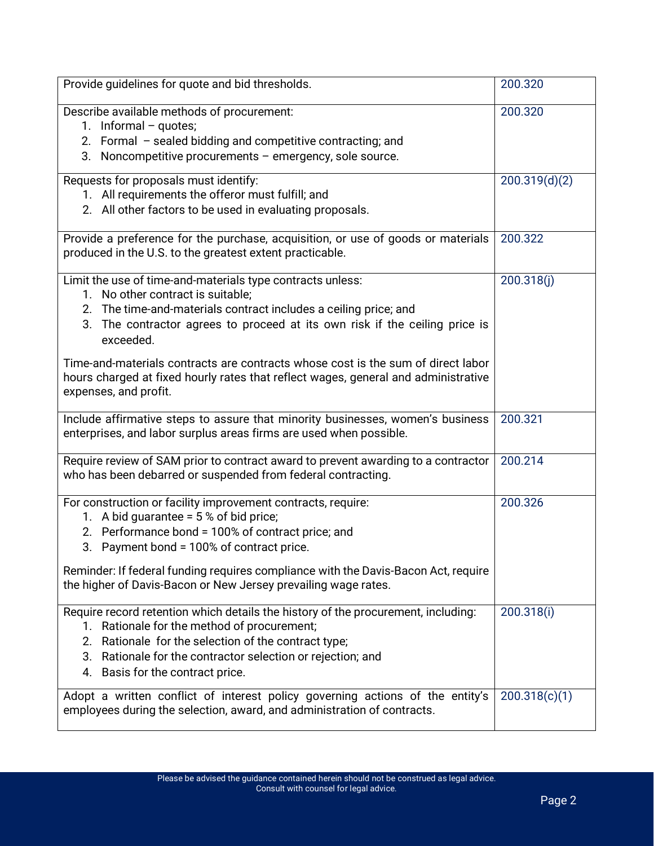| Provide guidelines for quote and bid thresholds.                                                                                                                                                                                                                                                                                                                                                                                                                      | 200.320       |
|-----------------------------------------------------------------------------------------------------------------------------------------------------------------------------------------------------------------------------------------------------------------------------------------------------------------------------------------------------------------------------------------------------------------------------------------------------------------------|---------------|
| Describe available methods of procurement:<br>1. Informal $-$ quotes;<br>2. Formal - sealed bidding and competitive contracting; and                                                                                                                                                                                                                                                                                                                                  | 200.320       |
| 3. Noncompetitive procurements - emergency, sole source.                                                                                                                                                                                                                                                                                                                                                                                                              |               |
| Requests for proposals must identify:<br>1. All requirements the offeror must fulfill; and<br>2. All other factors to be used in evaluating proposals.                                                                                                                                                                                                                                                                                                                | 200.319(d)(2) |
| Provide a preference for the purchase, acquisition, or use of goods or materials<br>produced in the U.S. to the greatest extent practicable.                                                                                                                                                                                                                                                                                                                          | 200.322       |
| Limit the use of time-and-materials type contracts unless:<br>1. No other contract is suitable;<br>2. The time-and-materials contract includes a ceiling price; and<br>The contractor agrees to proceed at its own risk if the ceiling price is<br>3.<br>exceeded.<br>Time-and-materials contracts are contracts whose cost is the sum of direct labor<br>hours charged at fixed hourly rates that reflect wages, general and administrative<br>expenses, and profit. | 200.318(j)    |
| Include affirmative steps to assure that minority businesses, women's business<br>enterprises, and labor surplus areas firms are used when possible.                                                                                                                                                                                                                                                                                                                  | 200.321       |
| Require review of SAM prior to contract award to prevent awarding to a contractor<br>who has been debarred or suspended from federal contracting.                                                                                                                                                                                                                                                                                                                     | 200.214       |
| For construction or facility improvement contracts, require:<br>1. A bid guarantee = $5%$ of bid price;<br>2. Performance bond = 100% of contract price; and<br>3. Payment bond = 100% of contract price.<br>Reminder: If federal funding requires compliance with the Davis-Bacon Act, require<br>the higher of Davis-Bacon or New Jersey prevailing wage rates.                                                                                                     | 200.326       |
| Require record retention which details the history of the procurement, including:<br>1. Rationale for the method of procurement;<br>Rationale for the selection of the contract type;<br>2.<br>3. Rationale for the contractor selection or rejection; and<br>4. Basis for the contract price.                                                                                                                                                                        | 200.318(i)    |
| Adopt a written conflict of interest policy governing actions of the entity's<br>employees during the selection, award, and administration of contracts.                                                                                                                                                                                                                                                                                                              | 200.318(c)(1) |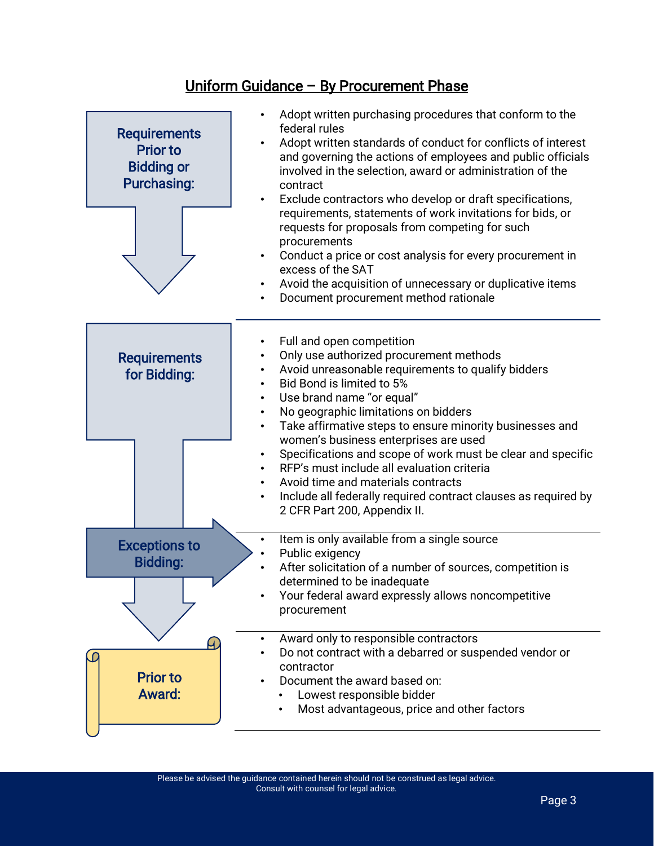#### Uniform Guidance – By Procurement Phase

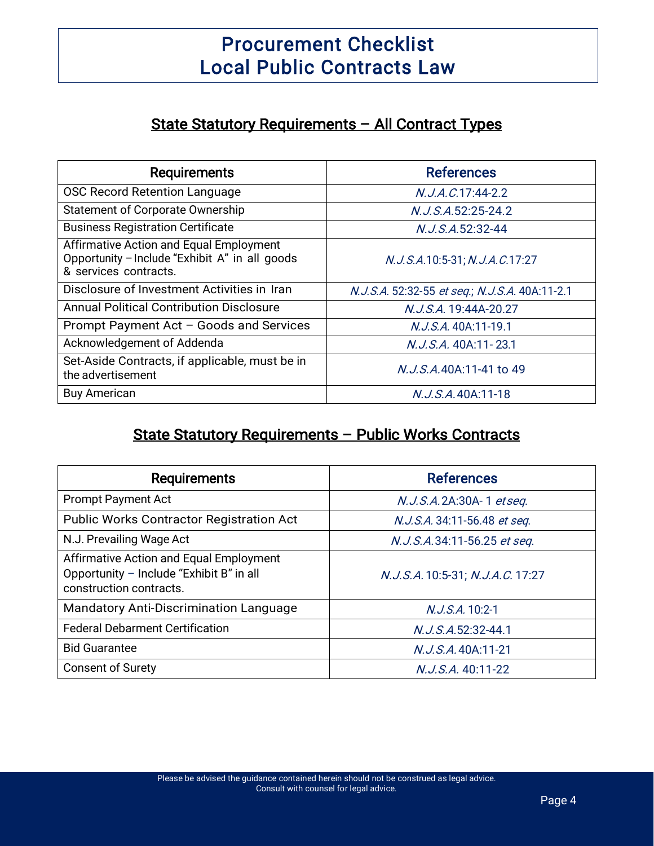## Procurement Checklist Local Public Contracts Law

#### State Statutory Requirements – All Contract Types

| <b>Requirements</b>                                                                                                | <b>References</b>                              |
|--------------------------------------------------------------------------------------------------------------------|------------------------------------------------|
| <b>OSC Record Retention Language</b>                                                                               | $N. J. A. C. 17:44-2.2$                        |
| Statement of Corporate Ownership                                                                                   | N.J.S.A.52:25-24.2                             |
| <b>Business Registration Certificate</b>                                                                           | N.J.S.A.52:32-44                               |
| Affirmative Action and Equal Employment<br>Opportunity - Include "Exhibit A" in all goods<br>& services contracts. | N.J.S.A.10:5-31; N.J.A.C.17:27                 |
| Disclosure of Investment Activities in Iran                                                                        | N.J.S.A. 52:32-55 et seq.; N.J.S.A. 40A:11-2.1 |
| Annual Political Contribution Disclosure                                                                           | N.J.S.A. 19:44A-20.27                          |
| Prompt Payment Act - Goods and Services                                                                            | N.J.S.A. 40A:11-19.1                           |
| Acknowledgement of Addenda                                                                                         | N.J.S.A. 40A:11-23.1                           |
| Set-Aside Contracts, if applicable, must be in<br>the advertisement                                                | N.J.S.A.40A:11-41 to 49                        |
| <b>Buy American</b>                                                                                                | N.J.S.A.40A:11-18                              |

## State Statutory Requirements – Public Works Contracts

| <b>Requirements</b>                                                                                            | <b>References</b>                |
|----------------------------------------------------------------------------------------------------------------|----------------------------------|
| <b>Prompt Payment Act</b>                                                                                      | N.J.S.A.2A:30A-1 etseq.          |
| <b>Public Works Contractor Registration Act</b>                                                                | N.J.S.A. 34:11-56.48 et seq.     |
| N.J. Prevailing Wage Act                                                                                       | N.J.S.A.34:11-56.25 et seq.      |
| Affirmative Action and Equal Employment<br>Opportunity - Include "Exhibit B" in all<br>construction contracts. | N.J.S.A. 10:5-31; N.J.A.C. 17:27 |
| <b>Mandatory Anti-Discrimination Language</b>                                                                  | N.J.S.A. 10:2-1                  |
| <b>Federal Debarment Certification</b>                                                                         | $N. J. S. A. 52:32-44.1$         |
| <b>Bid Guarantee</b>                                                                                           | N.J.S.A.40A:11-21                |
| <b>Consent of Surety</b>                                                                                       | N.J.S.A. 40:11-22                |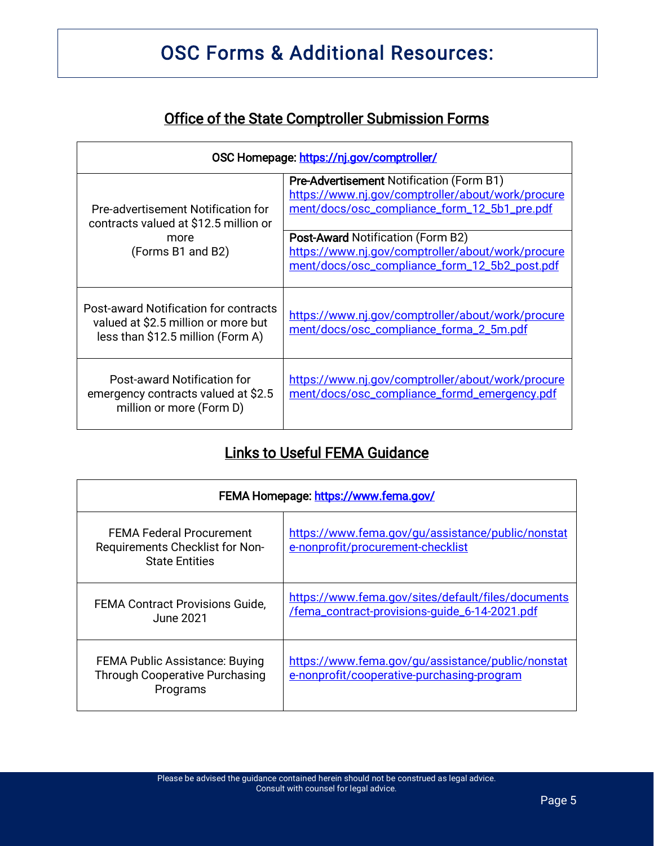# OSC Forms & Additional Resources:

### Office of the State Comptroller Submission Forms

| OSC Homepage: https://nj.gov/comptroller/                                                                         |                                                                                                                                                      |  |
|-------------------------------------------------------------------------------------------------------------------|------------------------------------------------------------------------------------------------------------------------------------------------------|--|
| Pre-advertisement Notification for<br>contracts valued at \$12.5 million or<br>more<br>(Forms B1 and B2)          | <b>Pre-Advertisement Notification (Form B1)</b><br>https://www.nj.gov/comptroller/about/work/procure<br>ment/docs/osc_compliance_form_12_5b1_pre.pdf |  |
|                                                                                                                   | <b>Post-Award Notification (Form B2)</b><br>https://www.nj.gov/comptroller/about/work/procure<br>ment/docs/osc_compliance_form_12_5b2_post.pdf       |  |
| Post-award Notification for contracts<br>valued at \$2.5 million or more but<br>less than \$12.5 million (Form A) | https://www.nj.gov/comptroller/about/work/procure<br>ment/docs/osc_compliance_forma_2_5m.pdf                                                         |  |
| Post-award Notification for<br>emergency contracts valued at \$2.5<br>million or more (Form D)                    | https://www.nj.gov/comptroller/about/work/procure<br>ment/docs/osc_compliance_formd_emergency.pdf                                                    |  |

### Links to Useful FEMA Guidance

| FEMA Homepage: https://www.fema.gov/                                                        |                                                                                                     |  |
|---------------------------------------------------------------------------------------------|-----------------------------------------------------------------------------------------------------|--|
| <b>FEMA Federal Procurement</b><br>Requirements Checklist for Non-<br><b>State Entities</b> | https://www.fema.gov/gu/assistance/public/nonstat<br>e-nonprofit/procurement-checklist              |  |
| <b>FEMA Contract Provisions Guide,</b><br>June 2021.                                        | https://www.fema.gov/sites/default/files/documents<br>/fema_contract-provisions-quide_6-14-2021.pdf |  |
| <b>FEMA Public Assistance: Buying</b><br><b>Through Cooperative Purchasing</b><br>Programs  | https://www.fema.gov/gu/assistance/public/nonstat<br>e-nonprofit/cooperative-purchasing-program     |  |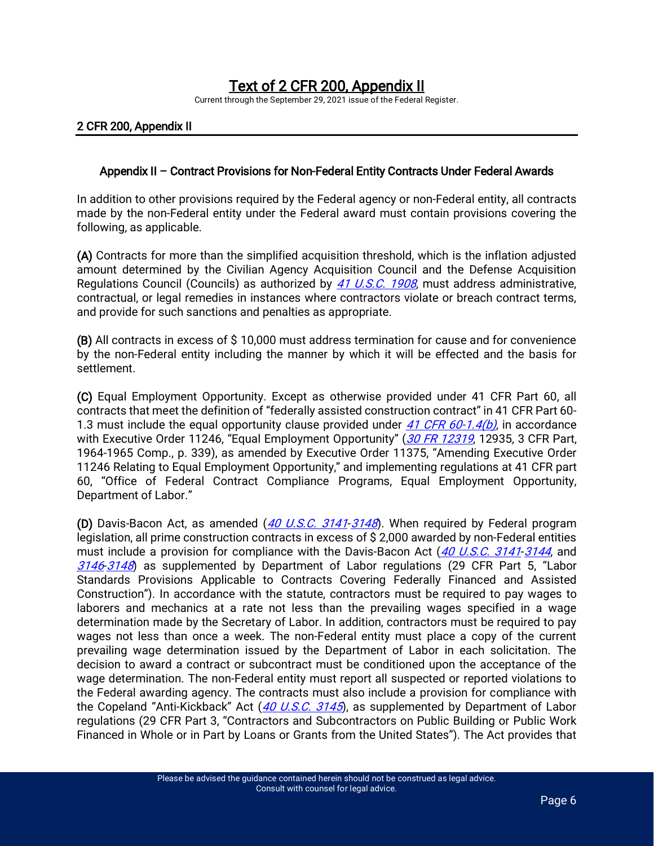# Text of 2 CFR 200, Appendix II<br>Current through the September 29, 2021 issue of the Federal Register.

#### 2 CFR 200, Appendix II

#### Appendix II – Contract Provisions for Non-Federal Entity Contracts Under Federal Awards

In addition to other provisions required by the Federal agency or non-Federal entity, all contracts made by the non-Federal entity under the Federal award must contain provisions covering the following, as applicable.

(A) Contracts for more than the simplified acquisition threshold, which is the inflation adjusted amount determined by the Civilian Agency Acquisition Council and the Defense Acquisition Regulations Council (Councils) as authorized by [41 U.S.C. 1908](https://advance.lexis.com/api/document?collection=statutes-legislation&id=urn:contentItem:8SF8-77C2-D6RV-H3ND-00000-00&context=1000516), must address administrative, contractual, or legal remedies in instances where contractors violate or breach contract terms, and provide for such sanctions and penalties as appropriate.

(B) All contracts in excess of \$ 10,000 must address termination for cause and for convenience by the non-Federal entity including the manner by which it will be effected and the basis for settlement.

(C) Equal Employment Opportunity. Except as otherwise provided under 41 CFR Part 60, all contracts that meet the definition of "federally assisted construction contract" in 41 CFR Part 60- 1.3 must include the equal opportunity clause provided under [41 CFR 60-1.4\(b\)](https://advance.lexis.com/api/document?collection=administrative-codes&id=urn:contentItem:601W-C4B1-DYB7-W4W2-00000-00&context=1000516), in accordance with Executive Order 11246, "Equal Employment Opportunity" ([30 FR 12319](https://advance.lexis.com/api/document?collection=administrative-codes&id=urn:contentItem:52GY-N1R0-00X0-9213-00000-00&context=1000516), 12935, 3 CFR Part, 1964-1965 Comp., p. 339), as amended by Executive Order 11375, "Amending Executive Order 11246 Relating to Equal Employment Opportunity," and implementing regulations at 41 CFR part 60, "Office of Federal Contract Compliance Programs, Equal Employment Opportunity, Department of Labor."

(D) Davis-Bacon Act, as amended  $(40 \text{ U.S.C. } 3141-3148)$  $(40 \text{ U.S.C. } 3141-3148)$  $(40 \text{ U.S.C. } 3141-3148)$ . When required by Federal program legislation, all prime construction contracts in excess of \$ 2,000 awarded by non-Federal entities must include a provision for compliance with the Davis-Bacon Act ([40 U.S.C. 3141](https://advance.lexis.com/api/document?collection=statutes-legislation&id=urn:contentItem:8SCB-BPC2-8T6X-73M5-00000-00&context=1000516)-[3144](https://advance.lexis.com/api/document?collection=statutes-legislation&id=urn:contentItem:8SCB-BPC2-8T6X-73M8-00000-00&context=1000516), and [3146](https://advance.lexis.com/api/document?collection=statutes-legislation&id=urn:contentItem:8SCB-BPC2-8T6X-73MB-00000-00&context=1000516)-[3148](https://advance.lexis.com/api/document?collection=statutes-legislation&id=urn:contentItem:8SCB-BPC2-8T6X-73MD-00000-00&context=1000516)) as supplemented by Department of Labor regulations (29 CFR Part 5, "Labor Standards Provisions Applicable to Contracts Covering Federally Financed and Assisted Construction"). In accordance with the statute, contractors must be required to pay wages to laborers and mechanics at a rate not less than the prevailing wages specified in a wage determination made by the Secretary of Labor. In addition, contractors must be required to pay wages not less than once a week. The non-Federal entity must place a copy of the current prevailing wage determination issued by the Department of Labor in each solicitation. The decision to award a contract or subcontract must be conditioned upon the acceptance of the wage determination. The non-Federal entity must report all suspected or reported violations to the Federal awarding agency. The contracts must also include a provision for compliance with the Copeland "Anti-Kickback" Act ([40 U.S.C. 3145](https://advance.lexis.com/api/document?collection=statutes-legislation&id=urn:contentItem:8SCB-BPC2-8T6X-73M9-00000-00&context=1000516)), as supplemented by Department of Labor regulations (29 CFR Part 3, "Contractors and Subcontractors on Public Building or Public Work Financed in Whole or in Part by Loans or Grants from the United States"). The Act provides that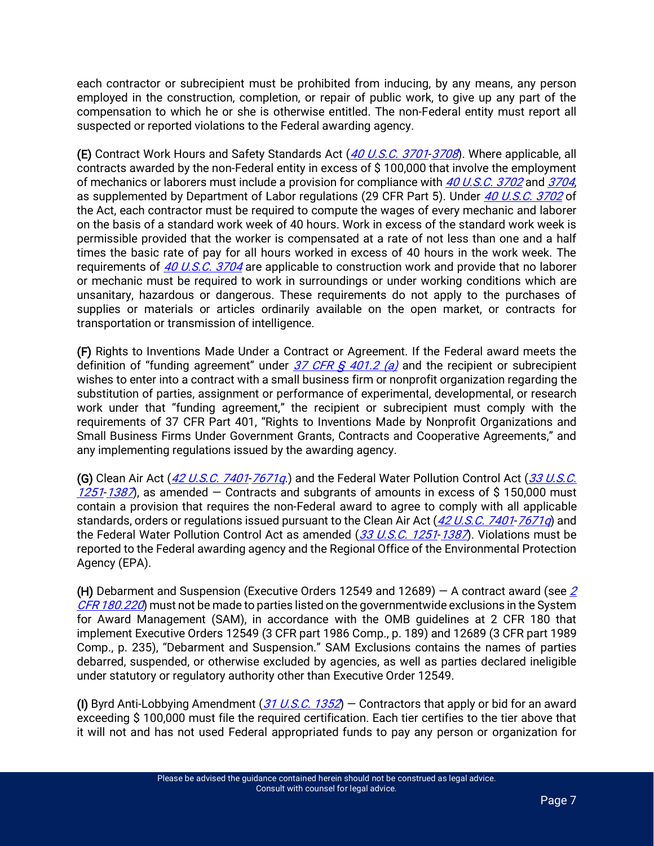each contractor or subrecipient must be prohibited from inducing, by any means, any person employed in the construction, completion, or repair of public work, to give up any part of the compensation to which he or she is otherwise entitled. The non-Federal entity must report all suspected or reported violations to the Federal awarding agency.

(E) Contract Work Hours and Safety Standards Act ([40 U.S.C. 3701](https://advance.lexis.com/api/document?collection=statutes-legislation&id=urn:contentItem:8SCB-BPC2-8T6X-73NR-00000-00&context=1000516)-[3708](https://advance.lexis.com/api/document?collection=statutes-legislation&id=urn:contentItem:8SCB-BPC2-8T6X-73P0-00000-00&context=1000516)). Where applicable, all contracts awarded by the non-Federal entity in excess of \$ 100,000 that involve the employment of mechanics or laborers must include a provision for compliance with [40 U.S.C. 3702](https://advance.lexis.com/api/document?collection=statutes-legislation&id=urn:contentItem:8SCB-BPC2-8T6X-73NS-00000-00&context=1000516) and [3704](https://advance.lexis.com/api/document?collection=statutes-legislation&id=urn:contentItem:8SCB-BPC2-8T6X-73NV-00000-00&context=1000516), as supplemented by Department of Labor regulations (29 CFR Part 5). Under [40 U.S.C. 3702](https://advance.lexis.com/api/document?collection=statutes-legislation&id=urn:contentItem:8SCB-BPC2-8T6X-73NS-00000-00&context=1000516) of the Act, each contractor must be required to compute the wages of every mechanic and laborer on the basis of a standard work week of 40 hours. Work in excess of the standard work week is permissible provided that the worker is compensated at a rate of not less than one and a half times the basic rate of pay for all hours worked in excess of 40 hours in the work week. The requirements of [40 U.S.C. 3704](https://advance.lexis.com/api/document?collection=statutes-legislation&id=urn:contentItem:8SCB-BPC2-8T6X-73NV-00000-00&context=1000516) are applicable to construction work and provide that no laborer or mechanic must be required to work in surroundings or under working conditions which are unsanitary, hazardous or dangerous. These requirements do not apply to the purchases of supplies or materials or articles ordinarily available on the open market, or contracts for transportation or transmission of intelligence.

(F) Rights to Inventions Made Under a Contract or Agreement. If the Federal award meets the definition of "funding agreement" under  $\frac{37}{\sqrt{CR}}$  G  $\frac{401.2}{\sqrt{a}}$  and the recipient or subrecipient wishes to enter into a contract with a small business firm or nonprofit organization regarding the substitution of parties, assignment or performance of experimental, developmental, or research work under that "funding agreement," the recipient or subrecipient must comply with the requirements of 37 CFR Part 401, "Rights to Inventions Made by Nonprofit Organizations and Small Business Firms Under Government Grants, Contracts and Cooperative Agreements," and any implementing regulations issued by the awarding agency.

(G) Clean Air Act ([42 U.S.C. 7401](https://advance.lexis.com/api/document?collection=statutes-legislation&id=urn:contentItem:8SHT-0722-D6RV-H47F-00000-00&context=1000516)-[7671q](https://advance.lexis.com/api/document?collection=statutes-legislation&id=urn:contentItem:8SHT-0722-D6RV-H4GF-00000-00&context=1000516).) and the Federal Water Pollution Control Act (33 U.S.C.  $1251-1387$  $1251-1387$  $1251-1387$ , as amended – Contracts and subgrants of amounts in excess of \$150,000 must contain a provision that requires the non-Federal award to agree to comply with all applicable standards, orders or regulations issued pursuant to the Clean Air Act ([42 U.S.C. 7401](https://advance.lexis.com/api/document?collection=statutes-legislation&id=urn:contentItem:8SHT-0722-D6RV-H47F-00000-00&context=1000516)-[7671q](https://advance.lexis.com/api/document?collection=statutes-legislation&id=urn:contentItem:8SHT-0722-D6RV-H4GF-00000-00&context=1000516)) and the Federal Water Pollution Control Act as amended  $(33 \text{ U.S.C. } 1251 \text{ -} 1387)$  $(33 \text{ U.S.C. } 1251 \text{ -} 1387)$  $(33 \text{ U.S.C. } 1251 \text{ -} 1387)$ . Violations must be reported to the Federal awarding agency and the Regional Office of the Environmental Protection Agency (EPA).

(H) Debarment and Suspension (Executive Orders 12549 and 12689) – A contract award (see  $\angle$ [CFR 180.220](https://advance.lexis.com/api/document?collection=administrative-codes&id=urn:contentItem:5YYH-WRX1-DYB7-W49W-00000-00&context=1000516)) must not be made to parties listed on the governmentwide exclusions in the System for Award Management (SAM), in accordance with the OMB guidelines at 2 CFR 180 that implement Executive Orders 12549 (3 CFR part 1986 Comp., p. 189) and 12689 (3 CFR part 1989 Comp., p. 235), "Debarment and Suspension." SAM Exclusions contains the names of parties debarred, suspended, or otherwise excluded by agencies, as well as parties declared ineligible under statutory or regulatory authority other than Executive Order 12549.

(I) Byrd Anti-Lobbying Amendment  $(31 \, \text{U.S. C. } 1352)$  – Contractors that apply or bid for an award exceeding \$ 100,000 must file the required certification. Each tier certifies to the tier above that it will not and has not used Federal appropriated funds to pay any person or organization for